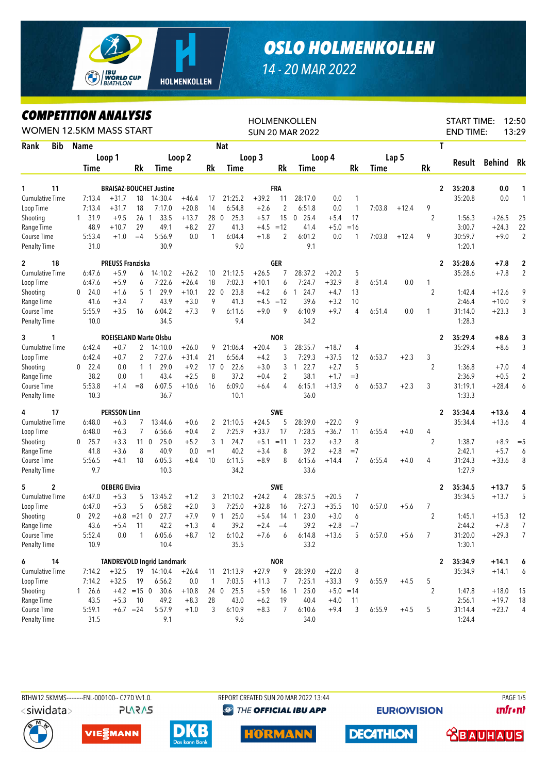

## *OSLO HOLMENKOLLEN*

## *14 - 20 MAR 2022*

## *COMPETITION ANALYSIS*

| <i><b>COMPEILION ANALYSIS</b></i><br><b>WOMEN 12.5KM MASS START</b> |                      |                         | <b>HOLMENKOLLEN</b><br><b>SUN 20 MAR 2022</b> |                                   |         | 12:50<br><b>START TIME:</b><br><b>END TIME:</b><br>13:29 |                         |             |                |                        |             |                |             |         |                |                           |         |                         |
|---------------------------------------------------------------------|----------------------|-------------------------|-----------------------------------------------|-----------------------------------|---------|----------------------------------------------------------|-------------------------|-------------|----------------|------------------------|-------------|----------------|-------------|---------|----------------|---------------------------|---------|-------------------------|
| Rank<br><b>Bib</b>                                                  | <b>Name</b>          |                         |                                               |                                   |         |                                                          | <b>Nat</b>              |             |                |                        |             |                |             |         |                | T                         |         |                         |
|                                                                     |                      | Loop 1                  |                                               |                                   | Loop 2  |                                                          |                         | Loop 3      |                | Loop 4                 |             |                |             | Lap 5   |                |                           |         |                         |
|                                                                     | Time                 |                         | Rk                                            | Time                              |         | Rk                                                       | Time                    |             | Rk             | Time                   |             | Rk             | <b>Time</b> |         | Rk             | Result                    | Behind  | Rk                      |
| 11<br>1                                                             |                      |                         |                                               | <b>BRAISAZ-BOUCHET Justine</b>    |         |                                                          |                         |             | FRA            |                        |             |                |             |         |                | $\overline{2}$<br>35:20.8 | 0.0     | 1                       |
| <b>Cumulative Time</b>                                              | 7:13.4               | $+31.7$                 | 18                                            | 14:30.4                           | $+46.4$ | 17                                                       | 21:25.2                 | $+39.2$     | 11             | 28:17.0                | 0.0         | 1              |             |         |                | 35:20.8                   | 0.0     | $\mathbf{1}$            |
| Loop Time                                                           | 7:13.4               | $+31.7$                 | 18                                            | 7:17.0                            | $+20.8$ | 14                                                       | 6:54.8                  | $+2.6$      | $\overline{2}$ | 6:51.8                 | 0.0         | $\mathbf{1}$   | 7:03.8      | $+12.4$ | 9              |                           |         |                         |
| Shooting                                                            | 31.9<br>$\mathbf{1}$ | $+9.5$                  | 26 <sub>1</sub>                               | 33.5                              | $+13.7$ | 28 <sub>0</sub>                                          | 25.3                    | $+5.7$      | 15             | 25.4<br>0              | $+5.4$      | 17             |             |         | $\overline{2}$ | 1:56.3                    | $+26.5$ | 25                      |
| Range Time                                                          | 48.9                 | $+10.7$                 | 29                                            | 49.1                              | $+8.2$  | 27                                                       | 41.3                    | $+4.5 = 12$ |                | 41.4                   | $+5.0$      | $=16$          |             |         |                | 3:00.7                    | $+24.3$ | 22                      |
| Course Time                                                         | 5:53.4               | $+1.0$                  | $=4$                                          | 5:56.9                            | 0.0     | $\mathbf{1}$                                             | 6:04.4                  | $+1.8$      | $\overline{2}$ | 6:01.2                 | 0.0         | 1              | 7:03.8      | $+12.4$ | 9              | 30:59.7                   | $+9.0$  | $\overline{2}$          |
| <b>Penalty Time</b>                                                 | 31.0                 |                         |                                               | 30.9                              |         |                                                          | 9.0                     |             |                | 9.1                    |             |                |             |         |                | 1:20.1                    |         |                         |
| 18<br>$\mathbf{2}$                                                  |                      | <b>PREUSS Franziska</b> |                                               |                                   |         |                                                          |                         |             | <b>GER</b>     |                        |             |                |             |         |                | 35:28.6<br>2              | $+7.8$  | $\overline{\mathbf{c}}$ |
| <b>Cumulative Time</b>                                              | 6:47.6               | $+5.9$                  | 6                                             | 14:10.2                           | $+26.2$ | 10                                                       | 21:12.5                 | $+26.5$     | 7              | 28:37.2                | $+20.2$     | 5              |             |         |                | 35:28.6                   | $+7.8$  | $\overline{2}$          |
| Loop Time                                                           | 6:47.6               | $+5.9$                  | 6                                             | 7:22.6                            | $+26.4$ | 18                                                       | 7:02.3                  | $+10.1$     | 6              | 7:24.7                 | $+32.9$     | 8              | 6:51.4      | 0.0     | $\mathbf{1}$   |                           |         |                         |
| Shooting                                                            | 24.0<br>0            | $+1.6$                  |                                               | 29.9<br>5 1                       | $+10.1$ |                                                          | 220<br>23.8             | $+4.2$      | 6              | 24.7<br>$\mathbf{1}$   | $+4.7$      | 13             |             |         | $\overline{2}$ | 1:42.4                    | $+12.6$ | 9                       |
| Range Time                                                          | 41.6                 | $+3.4$                  | 7                                             | 43.9                              | $+3.0$  | 9                                                        | 41.3                    | $+4.5 = 12$ |                | 39.6                   | $+3.2$      | 10             |             |         |                | 2:46.4                    | $+10.0$ | 9                       |
| Course Time                                                         | 5:55.9               | $+3.5$                  | 16                                            | 6:04.2                            | $+7.3$  | 9                                                        | 6:11.6                  | $+9.0$      | 9              | 6:10.9                 | $+9.7$      | 4              | 6:51.4      | 0.0     | 1              | 31:14.0                   | $+23.3$ | 3                       |
| <b>Penalty Time</b>                                                 | 10.0                 |                         |                                               | 34.5                              |         |                                                          | 9.4                     |             |                | 34.2                   |             |                |             |         |                | 1:28.3                    |         |                         |
| 1<br>3                                                              |                      |                         |                                               | <b>ROEISELAND Marte Olsbu</b>     |         |                                                          |                         |             | <b>NOR</b>     |                        |             |                |             |         |                | 2<br>35:29.4              | $+8.6$  | 3                       |
| <b>Cumulative Time</b>                                              | 6:42.4               | $+0.7$                  | 2                                             | 14:10.0                           | $+26.0$ | 9                                                        | 21:06.4                 | $+20.4$     | 3              | 28:35.7                | $+18.7$     | 4              |             |         |                | 35:29.4                   | $+8.6$  | 3                       |
| Loop Time                                                           | 6:42.4               | $+0.7$                  | 2                                             | 7:27.6                            | $+31.4$ | 21                                                       | 6:56.4                  | $+4.2$      | 3              | 7:29.3                 | $+37.5$     | 12             | 6:53.7      | $+2.3$  | 3              |                           |         |                         |
| Shooting                                                            | 22.4<br>0            | 0.0                     |                                               | 29.0<br>$1\quad1$                 | $+9.2$  |                                                          | 17 <sub>0</sub><br>22.6 | $+3.0$      | 3              | 22.7<br>$\mathbf{1}$   | $+2.7$      | 5              |             |         | $\overline{2}$ | 1:36.8                    | $+7.0$  | 4                       |
| Range Time                                                          | 38.2                 | 0.0                     | $\mathbf{1}$                                  | 43.4                              | $+2.5$  | 8                                                        | 37.2                    | $+0.4$      | $\overline{2}$ | 38.1                   | $+1.7$      | $=$ 3          |             |         |                | 2:36.9                    | $+0.5$  | $\overline{2}$          |
| Course Time                                                         | 5:53.8               | $+1.4$                  | $=8$                                          | 6:07.5                            | $+10.6$ | 16                                                       | 6:09.0                  | $+6.4$      | 4              | 6:15.1                 | $+13.9$     | 6              | 6:53.7      | $+2.3$  | 3              | 31:19.1                   | $+28.4$ | 6                       |
| <b>Penalty Time</b>                                                 | 10.3                 |                         |                                               | 36.7                              |         |                                                          | 10.1                    |             |                | 36.0                   |             |                |             |         |                | 1:33.3                    |         |                         |
| 17<br>4                                                             |                      | <b>PERSSON Linn</b>     |                                               |                                   |         |                                                          |                         |             | <b>SWE</b>     |                        |             |                |             |         |                | 2<br>35:34.4              | $+13.6$ | 4                       |
| <b>Cumulative Time</b>                                              | 6:48.0               | $+6.3$                  | 7                                             | 13:44.6                           | $+0.6$  | 2                                                        | 21:10.5                 | $+24.5$     | 5              | 28:39.0                | $+22.0$     | 9              |             |         |                | 35:34.4                   | $+13.6$ | 4                       |
| Loop Time                                                           | 6:48.0               | $+6.3$                  | $\overline{7}$                                | 6:56.6                            | $+0.4$  | 2                                                        | 7:25.9                  | $+33.7$     | 17             | 7:28.5                 | $+36.7$     | 11             | 6:55.4      | $+4.0$  | 4              |                           |         |                         |
| Shooting                                                            | 25.7<br>0            | $+3.3$                  | 11 <sub>0</sub>                               | 25.0                              | $+5.2$  | 3                                                        | 24.7<br>$\overline{1}$  | $+5.1$      | $= 11 \quad 1$ | 23.2                   | $+3.2$      | 8              |             |         | $\overline{2}$ | 1:38.7                    | $+8.9$  | $=$ 5                   |
| Range Time                                                          | 41.8                 | $+3.6$                  | 8                                             | 40.9                              | 0.0     | $=1$                                                     | 40.2                    | $+3.4$      | 8              | 39.2                   | $+2.8$      | $=7$           |             |         |                | 2:42.1                    | $+5.7$  | 6                       |
| Course Time                                                         | 5:56.5               | $+4.1$                  | 18                                            | 6:05.3                            | $+8.4$  | 10                                                       | 6:11.5                  | $+8.9$      | 8              | 6:15.6                 | $+14.4$     | $\overline{7}$ | 6:55.4      | $+4.0$  | 4              | 31:24.3                   | $+33.6$ | 8                       |
| <b>Penalty Time</b>                                                 | 9.7                  |                         |                                               | 10.3                              |         |                                                          | 34.2                    |             |                | 33.6                   |             |                |             |         |                | 1:27.9                    |         |                         |
| 2<br>5                                                              |                      | <b>OEBERG Elvira</b>    |                                               |                                   |         |                                                          |                         |             | <b>SWE</b>     |                        |             |                |             |         |                | 2<br>35:34.5              | $+13.7$ | 5                       |
| <b>Cumulative Time</b>                                              | 6:47.0               | $+5.3$                  | 5                                             | 13:45.2                           | $+1.2$  | 3                                                        | 21:10.2                 | $+24.2$     | 4              | 28:37.5                | $+20.5$     | 7              |             |         |                | 35:34.5                   | $+13.7$ | 5                       |
| Loop Time                                                           | 6:47.0               | $+5.3$                  | 5                                             | 6:58.2                            | $+2.0$  | 3                                                        | 7:25.0                  | $+32.8$     | 16             | 7:27.3                 | $+35.5$     | 10             | 6:57.0      | $+5.6$  | 7              |                           |         |                         |
| Shooting                                                            | 29.2<br>$\mathbf{0}$ |                         | $+6.8$ = 21 0                                 | 27.7                              | $+7.9$  |                                                          | 9 1<br>25.0             | $+5.4$      | 14             | 23.0<br>$\overline{1}$ | $+3.0$      | 6              |             |         | $\overline{2}$ | 1:45.1                    | $+15.3$ | 12                      |
| Range Time                                                          | 43.6                 | $+5.4$                  | 11                                            | 42.2                              | $+1.3$  | 4                                                        | 39.2                    | $+2.4$      | $=4$           | 39.2                   | $+2.8$      | $=7$           |             |         |                | 2:44.2                    | $+7.8$  | 7                       |
| Course Time                                                         | 5:52.4               | 0.0                     | 1                                             | 6:05.6                            | $+8.7$  | 12                                                       | 6:10.2                  | $+7.6$      | 6              | 6:14.8                 | $+13.6$     | 5              | 6:57.0      | $+5.6$  | 7              | 31:20.0                   | $+29.3$ | $\overline{7}$          |
| Penalty Time                                                        | 10.9                 |                         |                                               | 10.4                              |         |                                                          | 35.5                    |             |                | 33.2                   |             |                |             |         |                | 1:30.1                    |         |                         |
| 6<br>14                                                             |                      |                         |                                               | <b>TANDREVOLD Ingrid Landmark</b> |         |                                                          |                         |             | <b>NOR</b>     |                        |             |                |             |         |                | 35:34.9<br>2              | $+14.1$ | 6                       |
| Cumulative Time                                                     | 7:14.2               | $+32.5$                 |                                               | 19 14:10.4                        | $+26.4$ | 11                                                       | 21:13.9                 | $+27.9$     | 9              | 28:39.0                | $+22.0$     | 8              |             |         |                | 35:34.9                   | $+14.1$ | 6                       |
| Loop Time                                                           | 7:14.2               | $+32.5$                 | 19                                            | 6:56.2                            | 0.0     | $\mathbf{1}$                                             | 7:03.5                  | $+11.3$     | 7              | 7:25.1                 | $+33.3$     | 9              | 6:55.9      | $+4.5$  | 5              |                           |         |                         |
| Shooting                                                            | 1 26.6               |                         |                                               | $+4.2$ = 15 0 30.6                | $+10.8$ |                                                          | 24 0 25.5               | $+5.9$      |                | 16 1 25.0              | $+5.0 = 14$ |                |             |         | $\overline{2}$ | 1:47.8                    | $+18.0$ | 15                      |
| Range Time                                                          | 43.5                 | $+5.3$                  | 10                                            | 49.2                              | $+8.3$  | 28                                                       | 43.0                    | $+6.2$      | 19             | 40.4                   | $+4.0$      | 11             |             |         |                | 2:56.1                    | $+19.7$ | 18                      |
| Course Time                                                         | 5:59.1               |                         | $+6.7 = 24$                                   | 5:57.9                            | $+1.0$  | 3                                                        | 6:10.9                  | $+8.3$      | 7              | 6:10.6                 | $+9.4$      | 3              | 6:55.9      | $+4.5$  | 5              | 31:14.4                   | $+23.7$ | 4                       |
| Penalty Time                                                        | 31.5                 |                         |                                               | 9.1                               |         |                                                          | 9.6                     |             |                | 34.0                   |             |                |             |         |                | 1:24.4                    |         |                         |



**PLARAS** 

BTHW12.5KMMS---------FNL-000100-- C77D Vv1.0. REPORT CREATED SUN 20 MAR 2022 13:44 PAGE 1/5 **@ THE OFFICIAL IBU APP** 

**EURIO)VISION** 

**unfront** 









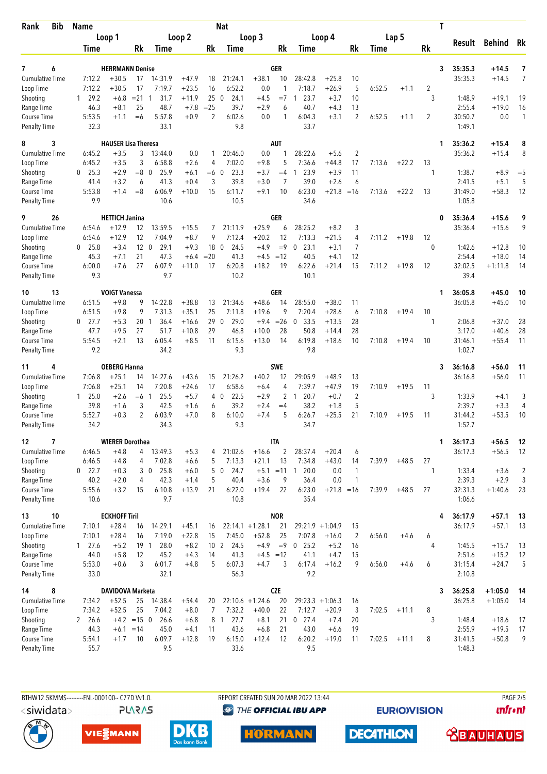| Bib<br>Rank                         | <b>Name</b>                    |                            |                            |                       |                    |                       | <b>Nat</b>                  |                          |                | T                              |                    |                      |        |         |         |                  |                    |                |
|-------------------------------------|--------------------------------|----------------------------|----------------------------|-----------------------|--------------------|-----------------------|-----------------------------|--------------------------|----------------|--------------------------------|--------------------|----------------------|--------|---------|---------|------------------|--------------------|----------------|
|                                     | Loop 1                         |                            | Loop <sub>2</sub>          |                       | Loop 3             |                       |                             |                          | Loop 4         |                                |                    |                      | Lap 5  |         | Result  | <b>Behind</b>    | Rk                 |                |
|                                     | Time                           |                            | Rk                         | Time                  |                    | Rk                    | Time                        |                          | Rk             | Time                           |                    | Rk                   | Time   |         | Rk      |                  |                    |                |
| 6<br>7                              |                                | <b>HERRMANN Denise</b>     |                            |                       |                    |                       |                             |                          | GER            |                                |                    |                      |        |         | 3       | 35:35.3          | $+14.5$            | 7              |
| <b>Cumulative Time</b>              | 7:12.2                         | $+30.5$                    | 17                         | 14:31.9               | $+47.9$            | 18                    | 21:24.1                     | $+38.1$                  | 10             | 28:42.8                        | $+25.8$            | 10                   |        |         |         | 35:35.3          | $+14.5$            | $\overline{7}$ |
| Loop Time                           | 7:12.2                         | $+30.5$                    | 17                         | 7:19.7                | $+23.5$            | 16                    | 6:52.2                      | 0.0                      | $\mathbf{1}$   | 7:18.7                         | $+26.9$            | 5                    | 6:52.5 | $+1.1$  | 2       |                  |                    |                |
| Shooting<br>Range Time              | 29.2<br>$\mathbf{1}$<br>46.3   | $+6.8$<br>$+8.1$           | $= 21$ 1<br>25             | 31.7<br>48.7          | $+11.9$<br>$+7.8$  | 25<br>$=25$           | $\mathbf 0$<br>24.1<br>39.7 | $+4.5$<br>$+2.9$         | $=7$<br>6      | 23.7<br>1<br>40.7              | $+3.7$<br>$+4.3$   | 10<br>13             |        |         | 3       | 1:48.9<br>2:55.4 | $+19.1$<br>$+19.0$ | 19<br>16       |
| Course Time                         | 5:53.5                         | $+1.1$                     | $=6$                       | 5:57.8                | $+0.9$             | 2                     | 6:02.6                      | 0.0                      | 1              | 6:04.3                         | $+3.1$             | $\overline{2}$       | 6:52.5 | $+1.1$  | 2       | 30:50.7          | 0.0                | $\mathbf{1}$   |
| <b>Penalty Time</b>                 | 32.3                           |                            |                            | 33.1                  |                    |                       | 9.8                         |                          |                | 33.7                           |                    |                      |        |         |         | 1:49.1           |                    |                |
| 3<br>8                              |                                | <b>HAUSER Lisa Theresa</b> |                            |                       |                    |                       |                             |                          | <b>AUT</b>     |                                |                    |                      |        |         | 1       | 35:36.2          | $+15.4$            | 8              |
| <b>Cumulative Time</b>              | 6:45.2                         | $+3.5$                     | 3                          | 13:44.0               | 0.0                | 1                     | 20:46.0                     | 0.0                      | 1              | 28:22.6                        | $+5.6$             | $\overline{2}$       |        |         |         | 35:36.2          | $+15.4$            | 8              |
| Loop Time<br>Shooting               | 6:45.2<br>25.3<br>$\mathbf{0}$ | $+3.5$<br>$+2.9$           | 3<br>$= 8 \ 0$             | 6:58.8<br>25.9        | $+2.6$<br>$+6.1$   | 4<br>$=6$             | 7:02.0<br>23.3<br>$\theta$  | $+9.8$<br>$+3.7$         | 5<br>$=4$      | 7:36.6<br>23.9<br>1            | $+44.8$<br>$+3.9$  | 17<br>11             | 7:13.6 | $+22.2$ | 13<br>1 | 1:38.7           | $+8.9$             | $=$ 5          |
| Range Time                          | 41.4                           | $+3.2$                     | 6                          | 41.3                  | $+0.4$             | 3                     | 39.8                        | $+3.0$                   | 7              | 39.0                           | $+2.6$             | 6                    |        |         |         | 2:41.5           | $+5.1$             | 5              |
| Course Time                         | 5:53.8                         | $+1.4$                     | $=8$                       | 6:06.9                | $+10.0$            | 15                    | 6:11.7                      | $+9.1$                   | 10             | 6:23.0                         | $+21.8$            | $=16$                | 7:13.6 | $+22.2$ | 13      | 31:49.0          | $+58.3$            | 12             |
| <b>Penalty Time</b>                 | 9.9                            |                            |                            | 10.6                  |                    |                       | 10.5                        |                          |                | 34.6                           |                    |                      |        |         |         | 1:05.8           |                    |                |
| 26<br>9                             |                                | <b>HETTICH Janina</b>      |                            |                       |                    |                       |                             |                          | GER            |                                |                    |                      |        |         | 0       | 35:36.4          | $+15.6$            | 9              |
| <b>Cumulative Time</b><br>Loop Time | 6:54.6<br>6:54.6               | $+12.9$<br>$+12.9$         | 12<br>12                   | 13:59.5<br>7:04.9     | $+15.5$<br>$+8.7$  | 7<br>9                | 21:11.9<br>7:12.4           | $+25.9$<br>$+20.2$       | 6<br>12        | 28:25.2<br>7:13.3              | $+8.2$<br>$+21.5$  | 3<br>4               | 7:11.2 | $+19.8$ | 12      | 35:36.4          | $+15.6$            | 9              |
| Shooting                            | 25.8<br>0                      | $+3.4$                     | 12 <sub>0</sub>            | 29.1                  | $+9.3$             | 18 0                  | 24.5                        | $+4.9$                   | $=9$           | 23.1<br>$\mathbf 0$            | $+3.1$             | $\overline{7}$       |        |         | 0       | 1:42.6           | $+12.8$            | 10             |
| Range Time                          | 45.3                           | $+7.1$                     | 21                         | 47.3                  | $+6.4$             | $=20$                 | 41.3                        | $+4.5$                   | $=12$          | 40.5                           | $+4.1$             | 12                   |        |         |         | 2:54.4           | $+18.0$            | 14             |
| Course Time                         | 6:00.0                         | $+7.6$                     | 27                         | 6:07.9                | $+11.0$            | 17                    | 6:20.8                      | $+18.2$                  | 19             | 6:22.6                         | $+21.4$            | 15                   | 7:11.2 | $+19.8$ | 12      | 32:02.5          | $+1:11.8$          | 14             |
| <b>Penalty Time</b>                 | 9.3                            |                            |                            | 9.7                   |                    |                       | 10.2                        |                          |                | 10.1                           |                    |                      |        |         |         | 39.4             |                    |                |
| 13<br>10                            |                                | <b>VOIGT Vanessa</b>       |                            |                       |                    |                       |                             |                          | GER            |                                |                    |                      |        |         | 1       | 36:05.8          | +45.0              | 10             |
| <b>Cumulative Time</b>              | 6:51.5                         | $+9.8$                     | 9                          | 14:22.8               | $+38.8$            | 13                    | 21:34.6                     | $+48.6$                  | 14             | 28:55.0                        | $+38.0$            | 11                   |        |         |         | 36:05.8          | $+45.0$            | 10             |
| Loop Time<br>Shooting               | 6:51.5<br>$\mathbf{0}$<br>27.7 | $+9.8$<br>$+5.3$           | 9<br>20 <sub>1</sub>       | 7:31.3<br>36.4        | $+35.1$<br>$+16.6$ | 25<br>29 0            | 7:11.8<br>29.0              | $+19.6$<br>$+9.4$        | 9<br>$=26$     | 7:20.4<br>33.5<br>$\mathbf 0$  | $+28.6$<br>$+13.5$ | 6<br>28              | 7:10.8 | $+19.4$ | 10<br>1 | 2:06.8           | $+37.0$            | 28             |
| Range Time                          | 47.7                           | $+9.5$                     | 27                         | 51.7                  | $+10.8$            | 29                    | 46.8                        | $+10.0$                  | 28             | 50.8                           | $+14.4$            | 28                   |        |         |         | 3:17.0           | $+40.6$            | 28             |
| Course Time                         | 5:54.5                         | $+2.1$                     | 13                         | 6:05.4                | $+8.5$             | 11                    | 6:15.6                      | $+13.0$                  | 14             | 6:19.8                         | $+18.6$            | 10                   | 7:10.8 | $+19.4$ | 10      | 31:46.1          | $+55.4$            | 11             |
| <b>Penalty Time</b>                 | 9.2                            |                            |                            | 34.2                  |                    |                       | 9.3                         |                          |                | 9.8                            |                    |                      |        |         |         | 1:02.7           |                    |                |
| 4<br>11                             |                                | <b>OEBERG Hanna</b>        |                            |                       |                    |                       |                             |                          | <b>SWE</b>     |                                |                    |                      |        |         | 3       | 36:16.8          | +56.0              | 11             |
| <b>Cumulative Time</b>              | 7:06.8                         | $+25.1$                    | 14                         | 14:27.6               | $+43.6$            | 15                    | 21:26.2                     | $+40.2$                  | 12             | 29:05.9                        | $+48.9$            | 13                   |        |         |         | 36:16.8          | $+56.0$            | 11             |
| Loop Time<br>Shooting               | 7:06.8<br>25.0<br>1            | $+25.1$<br>$+2.6$          | 14<br>$=6 \quad 1$         | 7:20.8<br>25.5        | $+24.6$<br>$+5.7$  | 17                    | 6:58.6<br>22.5<br>40        | $+6.4$<br>$+2.9$         | 4<br>2         | 7:39.7<br>20.7<br>1            | $+47.9$<br>$+0.7$  | 19<br>$\overline{2}$ | 7:10.9 | $+19.5$ | 11<br>3 | 1:33.9           | $+4.1$             | 3              |
| Range Time                          | 39.8                           | $+1.6$                     | 3                          | 42.5                  | $+1.6$             | 6                     | 39.2                        | $+2.4$                   | $=4$           | 38.2                           | $+1.8$             | 5                    |        |         |         | 2:39.7           | $+3.3$             | 4              |
| <b>Course Time</b>                  | 5:52.7                         | $+0.3$                     | 2                          | 6:03.9                | $+7.0$             | 8                     | 6:10.0                      | $+7.4$                   | 5              | 6:26.7                         | $+25.5$            | 21                   | 7:10.9 | $+19.5$ | 11      | 31:44.2          | $+53.5$            | 10             |
| <b>Penalty Time</b>                 | 34.2                           |                            |                            | 34.3                  |                    |                       | 9.3                         |                          |                | 34.7                           |                    |                      |        |         |         | 1:52.7           |                    |                |
| $\overline{ }$<br>12                |                                | <b>WIERER Dorothea</b>     |                            |                       |                    |                       |                             |                          | ITA            |                                |                    |                      |        |         | 1       | 36:17.3          | $+56.5$            | 12             |
| <b>Cumulative Time</b>              | 6:46.5                         | $+4.8$                     | 4                          | 13:49.3               | $+5.3$             | 4                     | 21:02.6                     | $+16.6$                  | $\overline{2}$ | 28:37.4                        | $+20.4$            | 6                    |        |         |         | 36:17.3          | $+56.5$            | 12             |
| Loop Time<br>Shooting               | 6:46.5<br>$0$ 22.7             | $+4.8$<br>$+0.3$           | 4                          | 7:02.8<br>3 0<br>25.8 | $+6.6$<br>$+6.0$   | 5                     | 7:13.3<br>5 0<br>24.7       | $+21.1$<br>$+5.1$ = 11 1 | 13             | 7:34.8<br>20.0                 | $+43.0$<br>0.0     | 14<br>$\mathbf{1}$   | 7:39.9 | $+48.5$ | 27<br>1 | 1:33.4           | $+3.6$             | $\overline{2}$ |
| Range Time                          | 40.2                           | $+2.0$                     | 4                          | 42.3                  | $+1.4$             | 5                     | 40.4                        | $+3.6$                   | 9              | 36.4                           | 0.0                | $\mathbf{1}$         |        |         |         | 2:39.3           | $+2.9$             | 3              |
| Course Time                         | 5:55.6                         | $+3.2$                     | 15                         | 6:10.8                | $+13.9$            | 21                    | 6:22.0                      | $+19.4$                  | 22             | 6:23.0                         | $+21.8 = 16$       |                      | 7:39.9 | $+48.5$ | 27      | 32:31.3          | $+1:40.6$          | 23             |
| <b>Penalty Time</b>                 | 10.6                           |                            |                            | 9.7                   |                    |                       | 10.8                        |                          |                | 35.4                           |                    |                      |        |         |         | 1:06.6           |                    |                |
| 10<br>13                            |                                | <b>ECKHOFF Tiril</b>       |                            |                       |                    |                       |                             |                          | <b>NOR</b>     |                                |                    |                      |        |         | 4       | 36:17.9          | $+57.1$            | 13             |
| <b>Cumulative Time</b>              | 7:10.1                         | $+28.4$                    | 16                         | 14:29.1               | $+45.1$            | 16                    |                             | $22:14.1 + 1:28.1$       | 21             | 29:21.9 +1:04.9                |                    | 15                   |        |         |         | 36:17.9          | $+57.1$            | 13             |
| Loop Time<br>Shooting               | 7:10.1<br>27.6<br>$\mathbf{1}$ | $+28.4$<br>$+5.2$          | 16<br>$19-1$               | 7:19.0<br>28.0        | $+22.8$<br>$+8.2$  | 15<br>10 <sub>2</sub> | 7:45.0<br>24.5              | $+52.8$<br>$+4.9$        | 25<br>$=9$     | 7:07.8<br>25.2<br>$\mathbf{0}$ | $+16.0$<br>$+5.2$  | 2<br>16              | 6:56.0 | $+4.6$  | 6<br>4  | 1:45.5           | $+15.7$            | 13             |
| Range Time                          | 44.0                           | $+5.8$                     | 12                         | 45.2                  | $+4.3$             | 14                    | 41.3                        | $+4.5 = 12$              |                | 41.1                           | $+4.7$             | 15                   |        |         |         | 2:51.6           | $+15.2$            | 12             |
| Course Time                         | 5:53.0                         | $+0.6$                     | 3                          | 6:01.7                | $+4.8$             | 5                     | 6:07.3                      | $+4.7$                   | 3              | 6:17.4                         | $+16.2$            | 9                    | 6:56.0 | $+4.6$  | 6       | 31:15.4          | $+24.7$            | 5              |
| <b>Penalty Time</b>                 | 33.0                           |                            |                            | 32.1                  |                    |                       | 56.3                        |                          |                | 9.2                            |                    |                      |        |         |         | 2:10.8           |                    |                |
| 8<br>14                             |                                | DAVIDOVA Marketa           |                            |                       |                    |                       |                             |                          | <b>CZE</b>     |                                |                    |                      |        |         | 3       | 36:25.8          | $+1:05.0$          | 14             |
| <b>Cumulative Time</b>              | 7:34.2                         | $+52.5$                    | 25                         | 14:38.4               | $+54.4$            | 20                    |                             | $22:10.6 + 1:24.6$       | 20             | $29:23.3 +1:06.3$              |                    | 16                   |        |         |         | 36:25.8          | $+1:05.0$          | -14            |
| Loop Time<br>Shooting               | 7:34.2<br>2 26.6               | $+52.5$                    | 25<br>$+4.2 = 15 \space 0$ | 7:04.2<br>26.6        | $+8.0$<br>$+6.8$   | 7                     | 7:32.2<br>8 1<br>27.7       | $+40.0$<br>$+8.1$        | 22<br>21       | 7:12.7<br>$0$ 27.4             | $+20.9$<br>$+7.4$  | 3<br>20              | 7:02.5 | $+11.1$ | 8<br>3  | 1:48.4           | $+18.6$            | 17             |
| Range Time                          | 44.3                           | $+6.1 = 14$                |                            | 45.0                  | $+4.1$             | 11                    | 43.6                        | $+6.8$                   | 21             | 43.0                           | $+6.6$             | 19                   |        |         |         | 2:55.9           | $+19.5$            | 17             |
| Course Time                         | 5:54.1                         | $+1.7$                     | 10                         | 6:09.7                | $+12.8$            | 19                    | 6:15.0                      | $+12.4$                  | 12             | 6:20.2                         | $+19.0$            | 11                   | 7:02.5 | $+11.1$ | 8       | 31:41.5          | $+50.8$            | 9              |
| <b>Penalty Time</b>                 | 55.7                           |                            |                            | 9.5                   |                    |                       | 33.6                        |                          |                | 9.5                            |                    |                      |        |         |         | 1:48.3           |                    |                |

<siwidata>

**PLARAS** 

BTHW12.5KMMS---------FNL-000100-- C77D Vv1.0. REPORT CREATED SUN 20 MAR 2022 13:44 PAGE 2/5 **@** THE OFFICIAL IBU APP

**EURIOVISION** 

**DECATHLON** 

*<u><u>Infront</u>*</u>







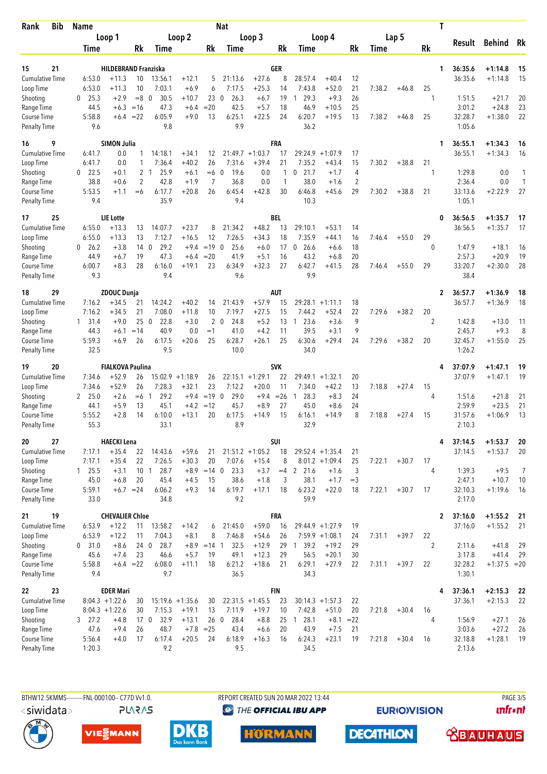| <b>Bib</b><br>Rank                        | Name                |                                        | <b>Nat</b>      |                                |                    |                        |                             |                              |             |                        |                                       | T                                |        |         |                |                    |                        |          |
|-------------------------------------------|---------------------|----------------------------------------|-----------------|--------------------------------|--------------------|------------------------|-----------------------------|------------------------------|-------------|------------------------|---------------------------------------|----------------------------------|--------|---------|----------------|--------------------|------------------------|----------|
|                                           | Loop 1              |                                        | Loop 2          |                                |                    | Loop 3                 |                             |                              |             |                        | Loop 4                                | Lap 5                            |        |         |                | Result             | <b>Behind</b>          | Rk       |
|                                           | Time                |                                        | Rk              | Time                           |                    | Rk                     | Time                        |                              | Rk          | Time                   |                                       | Rk                               | Time   |         | Rk             |                    |                        |          |
| 15                                        |                     |                                        |                 |                                |                    |                        |                             |                              | GER         |                        |                                       |                                  |        |         |                |                    |                        |          |
| 21<br><b>Cumulative Time</b>              | 6:53.0              | <b>HILDEBRAND Franziska</b><br>$+11.3$ | 10              | 13:56.1                        | $+12.1$            | 5                      | 21:13.6                     | $+27.6$                      | 8           | 28:57.4                | $+40.4$                               | 12                               |        |         | 1              | 36:35.6<br>36:35.6 | $+1:14.8$<br>$+1:14.8$ | 15<br>15 |
| Loop Time                                 | 6:53.0              | $+11.3$                                | 10              | 7:03.1                         | $+6.9$             | 6                      | 7:17.5                      | $+25.3$                      | 14          | 7:43.8                 | $+52.0$                               | 21                               | 7:38.2 | $+46.8$ | 25             |                    |                        |          |
| Shooting                                  | 25.3<br>0           | $+2.9$                                 | $=8$            | 30.5<br>$\overline{0}$         | $+10.7$            | 23                     | $\mathbf 0$<br>26.3         | $+6.7$                       | 19          | 29.3<br>1              | $+9.3$                                | 26                               |        |         | 1              | 1:51.5             | $+21.7$                | 20       |
| Range Time                                | 44.5                | $+6.3$                                 | $=16$           | 47.3                           | $+6.4$             | $= 20$                 | 42.5                        | $+5.7$                       | 18          | 46.9                   | $+10.5$                               | 25                               |        |         |                | 3:01.2             | $+24.8$                | 23       |
| <b>Course Time</b><br><b>Penalty Time</b> | 5:58.8<br>9.6       | $+6.4$                                 | $=22$           | 6:05.9<br>9.8                  | $+9.0$             | 13                     | 6:25.1<br>9.9               | $+22.5$                      | 24          | 6:20.7<br>36.2         | $+19.5$                               | 13                               | 7:38.2 | $+46.8$ | 25             | 32:28.7<br>1:05.6  | $+1:38.0$              | 22       |
| 9<br>16                                   |                     | <b>SIMON Julia</b>                     |                 |                                |                    |                        |                             |                              | <b>FRA</b>  |                        |                                       |                                  |        |         | 1              | 36:55.1            | $+1:34.3$              | 16       |
| <b>Cumulative Time</b>                    | 6:41.7              | 0.0                                    | 1               | 14:18.1                        | $+34.1$            | 12                     |                             | $21:49.7 + 1:03.7$           | 17          | 29:24.9                | $+1:07.9$                             | 17                               |        |         |                | 36:55.1            | $+1:34.3$              | 16       |
| Loop Time                                 | 6:41.7              | 0.0                                    | 1               | 7:36.4                         | $+40.2$            | 26                     | 7:31.6                      | $+39.4$                      | 21          | 7:35.2                 | $+43.4$                               | 15                               | 7:30.2 | $+38.8$ | 21             |                    |                        |          |
| Shooting<br>Range Time                    | 22.5<br>0<br>38.8   | $+0.1$<br>$+0.6$                       | 2               | 2 <sub>1</sub><br>25.9<br>42.8 | $+6.1$<br>$+1.9$   | $=6$<br>$\overline{7}$ | 19.6<br>$\mathbf 0$<br>36.8 | 0.0<br>0.0                   | 1<br>1      | 21.7<br>0<br>38.0      | +1.7<br>$+1.6$                        | $\overline{4}$<br>$\overline{2}$ |        |         | 1              | 1:29.8<br>2:36.4   | 0.0<br>0.0             | 1<br>1   |
| <b>Course Time</b>                        | 5:53.5              | $+1.1$                                 | $= 6$           | 6:17.7                         | $+20.8$            | 26                     | 6:45.4                      | $+42.8$                      | 30          | 6:46.8                 | $+45.6$                               | 29                               | 7:30.2 | $+38.8$ | 21             | 33:13.6            | $+2:22.9$              | 27       |
| <b>Penalty Time</b>                       | 9.4                 |                                        |                 | 35.9                           |                    |                        | 9.4                         |                              |             | 10.3                   |                                       |                                  |        |         |                | 1:05.1             |                        |          |
| 25<br>17                                  |                     | <b>LIE</b> Lotte                       |                 |                                |                    |                        |                             |                              | BEL         |                        |                                       |                                  |        |         | 0              | 36:56.5            | $+1:35.7$              | 17       |
| <b>Cumulative Time</b><br>Loop Time       | 6:55.0<br>6:55.0    | $+13.3$<br>$+13.3$                     | 13<br>13        | 14:07.7<br>7:12.7              | $+23.7$<br>$+16.5$ | 8<br>12                | 21:34.2<br>7:26.5           | $+48.2$<br>$+34.3$           | 13<br>18    | 29:10.1<br>7:35.9      | $+53.1$<br>$+44.1$                    | 14<br>16                         | 7:46.4 | $+55.0$ | 29             | 36:56.5            | $+1:35.7$              | 17       |
| Shooting                                  | 26.2<br>0           | $+3.8$                                 | 14              | 29.2<br>- 0                    | $+9.4$             | $=19$ 0                | 25.6                        | $+6.0$                       | 17          | 26.6<br>0              | $+6.6$                                | 18                               |        |         | 0              | 1:47.9             | $+18.1$                | 16       |
| Range Time                                | 44.9                | +6.7                                   | 19              | 47.3                           | $+6.4$             | $=20$                  | 41.9                        | $+5.1$                       | 16          | 43.2                   | $+6.8$                                | 20                               |        |         |                | 2:57.3             | $+20.9$                | 19       |
| Course Time<br><b>Penalty Time</b>        | 6:00.7<br>9.3       | $+8.3$                                 | 28              | 6:16.0<br>9.4                  | $+19.1$            | 23                     | 6:34.9<br>9.6               | $+32.3$                      | 27          | 6:42.7<br>9.9          | $+41.5$                               | 28                               | 7:46.4 | $+55.0$ | 29             | 33:20.7<br>38.4    | $+2:30.0$              | 28       |
| 29<br>18                                  |                     | <b>ZDOUC Dunja</b>                     |                 |                                |                    |                        |                             |                              | AUT         |                        |                                       |                                  |        |         | $\mathbf{2}$   | 36:57.7            | $+1:36.9$              | 18       |
| <b>Cumulative Time</b>                    | 7:16.2              | $+34.5$                                | 21              | 14:24.2                        | $+40.2$            | 14                     | 21:43.9                     | $+57.9$                      | 15          | 29:28.1                | $+1:11.1$                             | 18                               |        |         |                | 36:57.7            | $+1:36.9$              | 18       |
| Loop Time                                 | 7:16.2              | $+34.5$                                | 21              | 7:08.0                         | $+11.8$            | 10                     | 7:19.7                      | $+27.5$                      | 15          | 7:44.2                 | +52.4                                 | 22                               | 7:29.6 | $+38.2$ | 20             |                    |                        |          |
| Shooting                                  | $1 \quad 31.4$      | $+9.0$                                 | 25              | 22.8<br>- 0                    | $+3.0$             | 2                      | 24.8<br>$\mathbf 0$         | $+5.2$                       | 13          | 23.6<br>-1             | $+3.6$                                | 9                                |        |         | 2              | 1:42.8             | $+13.0$                | 11       |
| Range Time<br>Course Time                 | 44.3<br>5:59.3      | $+6.1$<br>$+6.9$                       | $=14$<br>26     | 40.9<br>6:17.5                 | 0.0<br>$+20.6$     | $=1$<br>25             | 41.0<br>6:28.7              | $+4.2$<br>$+26.1$            | 11<br>25    | 39.5<br>6:30.6         | $+3.1$<br>$+29.4$                     | 9<br>24                          | 7:29.6 | $+38.2$ | 20             | 2:45.7<br>32:45.7  | $+9.3$<br>$+1:55.0$    | 8<br>25  |
| <b>Penalty Time</b>                       | 32.5                |                                        |                 | 9.5                            |                    |                        | 10.0                        |                              |             | 34.0                   |                                       |                                  |        |         |                | 1:26.2             |                        |          |
| 20<br>19                                  |                     | <b>FIALKOVA Paulina</b>                |                 |                                |                    |                        |                             |                              | <b>SVK</b>  |                        |                                       |                                  |        |         | 4              | 37:07.9            | $+1:47.1$              | 19       |
| Cumulative Time                           | 7:34.6              | $+52.9$                                | 26              |                                | $15:02.9 +1:18.9$  | 26                     |                             | $22:15.1 + 1:29.1$           | 22          |                        | $29:49.1 + 1:32.1$                    | 20                               |        |         |                | 37:07.9            | $+1:47.1$              | 19       |
| Loop Time<br>Shooting                     | 7:34.6<br>25.0<br>2 | $+52.9$<br>$+2.6$                      | 26<br>$=6$      | 7:28.3<br>29.2<br>-1           | $+32.1$<br>$+9.4$  | 23<br>$=19$ 0          | 7:12.2<br>29.0              | $+20.0$<br>$+9.4$            | 11<br>$=26$ | 7:34.0<br>28.3<br>1    | $+42.2$<br>$+8.3$                     | 13<br>24                         | 7:18.8 | $+27.4$ | 15<br>4        | 1:51.6             | $+21.8$                | 21       |
| Range Time                                | 44.1                | $+5.9$                                 | 13              | 45.1                           | $+4.2$             | $=12$                  | 45.7                        | $+8.9$                       | 27          | 45.0                   | $+8.6$                                | 24                               |        |         |                | 2:59.9             | $+23.5$                | 21       |
| <b>Course Time</b>                        | 5:55.2              | $+2.8$                                 | 14              | 6:10.0                         | $+13.1$            | 20                     | 6:17.5                      | $+14.9$                      | 15          | 6:16.1                 | +14.9                                 | 8                                | 7:18.8 | $+27.4$ | 15             | 31:57.6            | $+1:06.9$              | 13       |
| <b>Penalty Time</b>                       | 55.3                |                                        |                 | 33.1                           |                    |                        | 8.9                         |                              |             | 32.9                   |                                       |                                  |        |         |                | 2:10.3             |                        |          |
| 27<br>20                                  |                     | <b>HAECKI Lena</b>                     |                 |                                |                    |                        |                             |                              | SUI         |                        |                                       |                                  |        |         | 4              | 37:14.5            | $+1:53.7$              | 20       |
| <b>Cumulative Time</b><br>Loop Time       | 7:17.1<br>7:17.1    | $+35.4$<br>$+35.4$                     | 22<br>22        | 14:43.6<br>7:26.5              | $+59.6$<br>$+30.3$ | 21<br>20               | 7:07.6                      | $21:51.2 +1:05.2$<br>$+15.4$ | 18<br>8     |                        | $29:52.4 +1:35.4$<br>$8:01.2 +1:09.4$ | 21<br>25                         | 7:22.1 | $+30.7$ | 17             | 37:14.5            | $+1:53.7$              | 20       |
| Shooting                                  | $1 \quad 25.5$      | $+3.1$                                 | 10 <sub>1</sub> | 28.7                           |                    | $+8.9 = 14$ 0          | 23.3                        | $+3.7$                       |             | $=4$ 2 21.6            | $+1.6$                                | 3                                |        |         | 4              | 1:39.3             | $+9.5$                 | 7        |
| Range Time                                | 45.0                | $+6.8$                                 | 20              | 45.4                           | $+4.5$             | 15                     | 38.6                        | $+1.8$                       | 3           | 38.1                   | $+1.7$                                | $=$ 3                            |        |         |                | 2:47.1             | $+10.7$                | 10       |
| Course Time                               | 5:59.1              |                                        | $+6.7 = 24$     | 6:06.2                         | $+9.3$             | 14                     | 6:19.7                      | $+17.1$                      | 18          | 6:23.2                 | $+22.0$                               | 18                               | 7:22.1 | $+30.7$ | 17             | 32:10.3            | $+1:19.6$              | -16      |
| <b>Penalty Time</b>                       | 33.0                |                                        |                 | 34.8                           |                    |                        | 9.2                         |                              |             | 59.9                   |                                       |                                  |        |         |                | 2:17.0             |                        |          |
| 19<br>21                                  |                     | <b>CHEVALIER Chloe</b>                 |                 |                                |                    |                        |                             |                              | <b>FRA</b>  |                        |                                       |                                  |        |         | 2              | 37:16.0            | $+1:55.2$              | 21       |
| Cumulative Time<br>Loop Time              | 6:53.9<br>6:53.9    | $+12.2$<br>$+12.2$                     | 11<br>11        | 13:58.2<br>7:04.3              | $+14.2$<br>$+8.1$  | 6<br>8                 | 21:45.0<br>7:46.8           | $+59.0$<br>$+54.6$           | 16<br>26    |                        | 29:44.9 +1:27.9<br>$7:59.9 +1:08.1$   | 19<br>24                         | 7:31.1 | $+39.7$ | 22             | 37:16.0            | $+1:55.2$              | 21       |
| Shooting                                  | 0 31.0              | $+8.6$                                 | 240             | 28.7                           |                    | $+8.9 = 14$ 1          | 32.5                        | $+12.9$                      | 29          | 39.2<br>$\overline{1}$ | $+19.2$                               | 29                               |        |         | $\overline{2}$ | 2:11.6             | $+41.8$                | 29       |
| Range Time                                | 45.6                | $+7.4$                                 | 23              | 46.6                           | $+5.7$             | 19                     | 49.1                        | $+12.3$                      | 29          | 56.5                   | $+20.1$                               | 30                               |        |         |                | 3:17.8             | $+41.4$                | 29       |
| Course Time<br><b>Penalty Time</b>        | 5:58.8<br>9.4       |                                        | $+6.4 = 22$     | 6:08.0<br>9.7                  | $+11.1$            | 18                     | 6:21.2<br>36.5              | $+18.6$                      | 21          | 6:29.1<br>34.3         | $+27.9$                               | 22                               | 7:31.1 | $+39.7$ | 22             | 32:28.2<br>1:30.1  | $+1:37.5 = 20$         |          |
| 23<br>22                                  |                     | <b>EDER Mari</b>                       |                 |                                |                    |                        |                             |                              | <b>FIN</b>  |                        |                                       |                                  |        |         | 4              | 37:36.1            | $+2:15.3$              | -22      |
| <b>Cumulative Time</b>                    |                     | $8:04.3 +1:22.6$                       | 30              | $15:19.6 + 1:35.6$             |                    | 30                     |                             | $22:31.5 +1:45.5$            | 23          |                        | $30:14.3 +1:57.3$                     | 22                               |        |         |                | 37:36.1            | $+2:15.3$              | 22       |
| Loop Time                                 |                     | $8:04.3 +1:22.6$                       | 30              | 7:15.3                         | $+19.1$            | 13                     | 7:11.9                      | $+19.7$                      | 10          | 7:42.8                 | $+51.0$                               | 20                               | 7:21.8 | $+30.4$ | 16             |                    |                        |          |
| Shooting                                  | $3$ 27.2            | $+4.8$                                 | 17 <sub>0</sub> | 32.9                           | $+13.1$            | 260                    | 28.4                        | $+8.8$                       | 25          | $1 \t28.1$             | $+8.1 = 22$                           |                                  |        |         | 4              | 1:56.9             | $+27.1$                | 26       |
| Range Time<br>Course Time                 | 47.6<br>5:56.4      | $+9.4$<br>$+4.0$                       | 26<br>17        | 48.7<br>6:17.4                 | $+7.8$<br>$+20.5$  | $=25$<br>24            | 43.4<br>6:18.9              | $+6.6$<br>$+16.3$            | 20<br>16    | 43.9<br>6:24.3         | $+7.5$<br>$+23.1$                     | 21<br>19                         | 7:21.8 | $+30.4$ | 16             | 3:03.6<br>32:18.8  | $+27.2$<br>$+1:28.1$   | 26<br>19 |
| <b>Penalty Time</b>                       | 1:20.3              |                                        |                 | 9.2                            |                    |                        | 9.5                         |                              |             | 34.5                   |                                       |                                  |        |         |                | 2:13.6             |                        |          |
|                                           |                     |                                        |                 |                                |                    |                        |                             |                              |             |                        |                                       |                                  |        |         |                |                    |                        |          |

<siwidata>

**PLARAS** 

BTHW12.5KMMS---------FNL-000100-- C77D Vv1.0. REPORT CREATED SUN 20 MAR 2022 13:44 PAGE 3/5 **@** THE OFFICIAL IBU APP

**EURIOVISION** 

*<u><u>Infront</u>*</u>











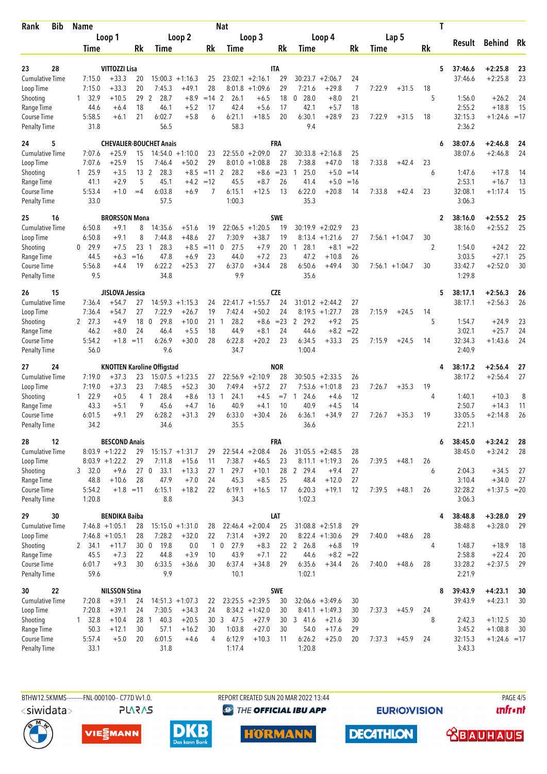| Rank                                      | Bib | <b>Name</b>              |                                |                       |                                   | <b>Nat</b>                    |                |                              |                               | T                |                                |                             |              |        |                   |                |        |                    |                        |          |
|-------------------------------------------|-----|--------------------------|--------------------------------|-----------------------|-----------------------------------|-------------------------------|----------------|------------------------------|-------------------------------|------------------|--------------------------------|-----------------------------|--------------|--------|-------------------|----------------|--------|--------------------|------------------------|----------|
|                                           |     | Loop 1                   |                                | Loop 2<br>Loop 3      |                                   |                               |                |                              |                               | Loop 4           |                                |                             |              | Lap 5  |                   |                | Result | Behind             | Rk                     |          |
|                                           |     | Time                     |                                | Rk                    | Time                              |                               | Rk             | Time                         |                               | Rk               | Time                           |                             | Rk           | Time   |                   | Rk             |        |                    |                        |          |
| 23                                        | 28  |                          | VITTOZZI Lisa                  |                       |                                   |                               |                |                              |                               | <b>ITA</b>       |                                |                             |              |        |                   |                | 5      | 37:46.6            | $+2:25.8$              | 23       |
| <b>Cumulative Time</b>                    |     | 7:15.0                   | $+33.3$                        | 20                    |                                   | $15:00.3 +1:16.3$             | 25             |                              | $23:02.1 + 2:16.1$            | 29               |                                | $30:23.7 + 2:06.7$          | 24           |        |                   |                |        | 37:46.6            | $+2:25.8$              | 23       |
| Loop Time                                 |     | 7:15.0                   | $+33.3$                        | 20                    | 7:45.3                            | $+49.1$                       | 28             |                              | $8:01.8 +1:09.6$              | 29               | 7:21.6                         | $+29.8$                     | 7            | 7:22.9 | $+31.5$           | 18             |        |                    |                        |          |
| Shooting                                  |     | 32.9<br>1                | $+10.5$                        | 29                    | 2<br>28.7                         | $+8.9$                        | $=14$ 2        | 26.1                         | $+6.5$                        | 18               | 28.0<br>0                      | $+8.0$                      | 21           |        |                   | 5              |        | 1:56.0             | $+26.2$                | 24       |
| Range Time                                |     | 44.6                     | $+6.4$                         | 18<br>21              | 46.1<br>6:02.7                    | $+5.2$                        | 17             | 42.4                         | $+5.6$                        | 17               | 42.1<br>6:30.1                 | $+5.7$<br>$+28.9$           | 18<br>23     |        |                   |                |        | 2:55.2             | $+18.8$                | 15       |
| <b>Course Time</b><br><b>Penalty Time</b> |     | 5:58.5<br>31.8           | +6.1                           |                       | 56.5                              | $+5.8$                        | 6              | 6:21.1<br>58.3               | $+18.5$                       | 20               | 9.4                            |                             |              | 7:22.9 | $+31.5$           | 18             |        | 32:15.3<br>2:36.2  | $+1:24.6 = 17$         |          |
| 24                                        | 5   |                          |                                |                       | <b>CHEVALIER-BOUCHET Anais</b>    |                               |                |                              |                               | FRA              |                                |                             |              |        |                   |                | 6      | 38:07.6            | $+2:46.8$              | 24       |
| <b>Cumulative Time</b>                    |     | 7:07.6                   | $+25.9$                        | 15                    |                                   | $14:54.0 + 1:10.0$            | 23             |                              | $22:55.0 + 2:09.0$            | 27               | 30:33.8                        | $+2:16.8$                   | 25           |        |                   |                |        | 38:07.6            | $+2:46.8$              | 24       |
| Loop Time                                 |     | 7:07.6<br>1 25.9         | +25.9<br>$+3.5$                | 15<br>13 <sup>2</sup> | 7:46.4<br>28.3                    | $+50.2$<br>$+8.5$             | 29<br>$=11$    | 8:01.0<br>2<br>28.2          | $+1:08.8$<br>$+8.6$           | 28<br>$= 23$     | 7:38.8<br>25.0<br>1            | $+47.0$<br>$+5.0$           | 18<br>$=14$  | 7:33.8 | $+42.4$           | 23<br>6        |        | 1:47.6             | $+17.8$                | 14       |
| Shooting<br>Range Time                    |     | 41.1                     | $+2.9$                         | 5                     | 45.1                              | $+4.2$                        | $=12$          | 45.5                         | $+8.7$                        | 26               | 41.4                           | $+5.0$                      | $=16$        |        |                   |                |        | 2:53.1             | $+16.7$                | 13       |
| Course Time                               |     | 5:53.4                   | $+1.0$                         | $=4$                  | 6:03.8                            | $+6.9$                        | 7              | 6:15.1                       | $+12.5$                       | 13               | 6:22.0                         | $+20.8$                     | 14           | 7:33.8 | $+42.4$           | 23             |        | 32:08.1            | $+1:17.4$              | 15       |
| <b>Penalty Time</b>                       |     | 33.0                     |                                |                       | 57.5                              |                               |                | 1:00.3                       |                               |                  | 35.3                           |                             |              |        |                   |                |        | 3:06.3             |                        |          |
| 25<br><b>Cumulative Time</b>              | 16  | 6:50.8                   | <b>BRORSSON Mona</b><br>$+9.1$ | 8                     | 14:35.6                           | $+51.6$                       | 19             | 22:06.5                      | $+1:20.5$                     | <b>SWE</b><br>19 | 30:19.9                        | $+2:02.9$                   | 23           |        |                   |                | 2      | 38:16.0<br>38:16.0 | $+2:55.2$<br>$+2:55.2$ | 25<br>25 |
| Loop Time                                 |     | 6:50.8                   | $+9.1$                         | 8                     | 7:44.8                            | $+48.6$                       | 27             | 7:30.9                       | $+38.7$                       | 19               | 8:13.4                         | $+1:21.6$                   | 27           |        | $7:56.1 + 1:04.7$ | 30             |        |                    |                        |          |
| Shooting                                  |     | 29.9<br>0                | $+7.5$                         | 23                    | 28.3<br>-1                        | $+8.5$                        | $=11$          | 27.5<br>$\mathbf 0$          | $+7.9$                        | 20               | 28.1<br>$\mathbf{1}$           | $+8.1$                      | $= 22$       |        |                   | $\overline{2}$ |        | 1:54.0             | $+24.2$                | 22       |
| Range Time                                |     | 44.5                     | $+6.3$                         | $=16$                 | 47.8                              | $+6.9$                        | 23             | 44.0                         | $+7.2$                        | 23               | 47.2                           | $+10.8$                     | 26           |        |                   |                |        | 3:03.5             | $+27.1$                | 25       |
| Course Time<br><b>Penalty Time</b>        |     | 5:56.8<br>9.5            | $+4.4$                         | 19                    | 6:22.2<br>34.8                    | $+25.3$                       | 27             | 6:37.0<br>9.9                | $+34.4$                       | 28               | 6:50.6<br>35.6                 | $+49.4$                     | 30           |        | $7:56.1 + 1:04.7$ | 30             |        | 33:42.7<br>1:29.8  | $+2:52.0$              | 30       |
| 26                                        | 15  |                          | JISLOVA Jessica                |                       |                                   |                               |                |                              |                               | <b>CZE</b>       |                                |                             |              |        |                   |                | 5      | 38:17.1            | $+2:56.3$              | 26       |
| <b>Cumulative Time</b>                    |     | 7:36.4                   | $+54.7$                        | 27                    | 14:59.3                           | $+1:15.3$                     | 24             |                              | $22:41.7 +1:55.7$             | 24               |                                | $31:01.2 +2:44.2$           | 27           |        |                   |                |        | 38:17.1            | $+2:56.3$              | 26       |
| Loop Time                                 |     | 7:36.4                   | $+54.7$                        | 27                    | 7:22.9                            | $+26.7$                       | 19             | 7:42.4                       | $+50.2$                       | 24               | 8:19.5                         | $+1:27.7$                   | 28           | 7:15.9 | $+24.5$           | 14             |        |                    |                        |          |
| Shooting<br>Range Time                    |     | 2 27.3<br>46.2           | $+4.9$<br>$+8.0$               | 18<br>24              | 29.8<br>$\overline{0}$<br>46.4    | $+10.0$<br>$+5.5$             | 21<br>18       | 28.2<br>-1<br>44.9           | $+8.6$<br>$+8.1$              | $= 23$<br>24     | 2 29.2<br>44.6                 | $+9.2$<br>$+8.2$            | 25<br>$= 22$ |        |                   | 5              |        | 1:54.7<br>3:02.1   | $+24.9$<br>$+25.7$     | 23<br>24 |
| Course Time                               |     | 5:54.2                   | $+1.8$                         | $=11$                 | 6:26.9                            | $+30.0$                       | 28             | 6:22.8                       | $+20.2$                       | 23               | 6:34.5                         | $+33.3$                     | 25           | 7:15.9 | $+24.5$           | 14             |        | 32:34.3            | $+1:43.6$              | 24       |
| <b>Penalty Time</b>                       |     | 56.0                     |                                |                       | 9.6                               |                               |                | 34.7                         |                               |                  | 1:00.4                         |                             |              |        |                   |                |        | 2:40.9             |                        |          |
| 27                                        | 24  |                          |                                |                       | <b>KNOTTEN Karoline Offigstad</b> |                               |                |                              |                               | <b>NOR</b>       |                                |                             |              |        |                   |                | 4      | 38:17.2            | $+2:56.4$              | 27       |
| <b>Cumulative Time</b>                    |     | 7:19.0                   | $+37.3$                        | 23                    |                                   | $15:07.5 + 1:23.5$            | 27             |                              | $22:56.9 + 2:10.9$            | 28               |                                | $30:50.5 + 2:33.5$          | 26           |        |                   |                |        | 38:17.2            | $+2:56.4$              | 27       |
| Loop Time                                 |     | 7:19.0                   | $+37.3$                        | 23                    | 7:48.5                            | $+52.3$                       | 30             | 7:49.4                       | $+57.2$                       | 27               |                                | $7:53.6 +1:01.8$            | 23           | 7:26.7 | $+35.3$           | 19             |        |                    |                        |          |
| Shooting<br>Range Time                    |     | 122.9<br>43.3            | $+0.5$<br>$+5.1$               | 9                     | 4 <sub>1</sub><br>28.4<br>45.6    | $+8.6$<br>$+4.7$              | 13<br>16       | 24.1<br>$\mathbf{1}$<br>40.9 | $+4.5$<br>$+4.1$              | $=7$<br>10       | 24.6<br>$\overline{1}$<br>40.9 | $+4.6$<br>$+4.5$            | 12<br>14     |        |                   | 4              |        | 1:40.1<br>2:50.7   | $+10.3$<br>$+14.3$     | 8<br>11  |
| Course Time                               |     | 6:01.5                   | $+9.1$                         | 29                    | 6:28.2                            | $+31.3$                       | 29             | 6:33.0                       | $+30.4$                       | 26               | 6:36.1                         | $+34.9$                     | 27           | 7:26.7 | $+35.3$           | 19             |        | 33:05.5            | $+2:14.8$              | 26       |
| <b>Penalty Time</b>                       |     | 34.2                     |                                |                       | 34.6                              |                               |                | 35.5                         |                               |                  | 36.6                           |                             |              |        |                   |                |        | 2:21.1             |                        |          |
| 28                                        | 12  |                          | <b>BESCOND Anais</b>           |                       |                                   |                               |                |                              |                               | FRA              |                                |                             |              |        |                   |                | 6      | 38:45.0            | $+3:24.2$              | 28       |
| <b>Cumulative Time</b>                    |     |                          | $8:03.9 +1:22.2$               | 29                    |                                   | $15:15.7 + 1:31.7$            | 29             |                              | $22:54.4 + 2:08.4$            | 26               |                                | $31:05.5 +2:48.5$           | 28           |        |                   |                |        | 38:45.0            | $+3:24.2$              | 28       |
| Loop Time<br>Shooting                     |     | 3, 32.0                  | $8:03.9 +1:22.2$<br>$+9.6$     | 29                    | 7:11.8<br>27 0 33.1               | $+15.6$<br>$+13.3$            | 11             | 7:38.7<br>29.7<br>27 1       | $+46.5$<br>$+10.1$            | 23               | 28 2 29.4                      | $8:11.1 + 1:19.3$<br>$+9.4$ | 26<br>27     | 7:39.5 | $+48.1$           | 26<br>6        |        | 2:04.3             | $+34.5$                | 27       |
| Range Time                                |     | 48.8                     | $+10.6$                        | 28                    | 47.9                              | $+7.0$                        | 24             | 45.3                         | $+8.5$                        | 25               | 48.4                           | $+12.0$                     | 27           |        |                   |                |        | 3:10.4             | $+34.0$                | 27       |
| Course Time                               |     | 5:54.2                   | $+1.8 = 11$                    |                       | 6:15.1                            | $+18.2$                       | 22             | 6:19.1                       | $+16.5$                       | 17               | 6:20.3                         | $+19.1$                     | 12           | 7:39.5 | $+48.1$           | 26             |        | 32:28.2            | $+1:37.5 = 20$         |          |
| <b>Penalty Time</b>                       |     | 1:20.8                   |                                |                       | 8.8                               |                               |                | 34.3                         |                               |                  | 1:02.3                         |                             |              |        |                   |                |        | 3:06.3             |                        |          |
| 29                                        | 30  |                          | <b>BENDIKA Baiba</b>           |                       |                                   |                               |                |                              |                               | LAT              |                                |                             |              |        |                   |                | 4      | 38:48.8            | $+3:28.0$              | 29       |
| Cumulative Time                           |     |                          | $7:46.8 +1:05.1$               | 28<br>28              | 7:28.2                            | $15:15.0 + 1:31.0$<br>$+32.0$ | 28<br>22       | 7:31.4                       | $22:46.4 + 2:00.4$<br>$+39.2$ | 25<br>20         |                                | $31:08.8 + 2:51.8$          | 29<br>29     |        | $+48.6$           | 28             |        | 38:48.8            | $+3:28.0$              | 29       |
| Loop Time<br>Shooting                     |     | 2 34.1                   | $7:46.8 +1:05.1$<br>$+11.7$    | 30 <sub>0</sub>       | 19.8                              | 0.0                           | $\mathbf{1}$   | $\mathbf 0$<br>27.9          | $+8.3$                        |                  | 22 <sub>2</sub><br>26.8        | $8:22.4 +1:30.6$<br>$+6.8$  | 19           | 7:40.0 |                   | 4              |        | 1:48.7             | $+18.9$                | 18       |
| Range Time                                |     | 45.5                     | $+7.3$                         | 22                    | 44.8                              | $+3.9$                        | 10             | 43.9                         | $+7.1$                        | 22               | 44.6                           | $+8.2$                      | $=22$        |        |                   |                |        | 2:58.8             | $+22.4$                | 20       |
| Course Time                               |     | 6:01.7                   | $+9.3$                         | 30                    | 6:33.5                            | $+36.6$                       | 30             | 6:37.4                       | $+34.8$                       | 29               | 6:35.6                         | $+34.4$                     | 26           | 7:40.0 | $+48.6$           | 28             |        | 33:28.2            | $+2:37.5$              | 29       |
| <b>Penalty Time</b>                       |     | 59.6                     |                                |                       | 9.9                               |                               |                | 10.1                         |                               |                  | 1:02.1                         |                             |              |        |                   |                |        | 2:21.9             |                        |          |
| 30                                        | 22  |                          | <b>NILSSON Stina</b>           |                       |                                   |                               |                |                              |                               | <b>SWE</b>       |                                |                             |              |        |                   |                | 8      | 39:43.9            | $+4:23.1$              | 30       |
| <b>Cumulative Time</b>                    |     | 7:20.8                   | $+39.1$                        | 24                    |                                   | $14:51.3 +1:07.3$             | 22             |                              | $23:25.5 + 2:39.5$            | 30               |                                | $32:06.6 + 3:49.6$          | 30           |        |                   |                |        | 39:43.9            | $+4:23.1$              | 30       |
| Loop Time<br>Shooting                     |     | 7:20.8<br>$1 \quad 32.8$ | $+39.1$<br>$+10.4$             | 24<br>28              | 7:30.5<br>40.3<br>$\overline{1}$  | $+34.3$<br>$+20.5$            | 24             | 30 3 47.5                    | $8:34.2 +1:42.0$<br>$+27.9$   | 30<br>30         | 3, 41.6                        | $8:41.1 +1:49.3$<br>$+21.6$ | 30<br>30     | 7:37.3 | $+45.9$           | 24<br>8        |        | 2:42.3             | $+1:12.5$              | 30       |
| Range Time                                |     | 50.3                     | $+12.1$                        | 30                    | 57.1                              | $+16.2$                       | 30             | 1:03.8                       | $+27.0$                       | 30               | 54.0                           | $+17.6$                     | 29           |        |                   |                |        | 3:45.2             | $+1:08.8$              | 30       |
| Course Time                               |     | 5:57.4                   | $+5.0$                         | 20                    | 6:01.5                            | $+4.6$                        | $\overline{4}$ | 6:12.9                       | $+10.3$                       | 11               | 6:26.2                         | $+25.0$                     | 20           | 7:37.3 | $+45.9$           | 24             |        | 32:15.3            | $+1:24.6 = 17$         |          |
| <b>Penalty Time</b>                       |     | 33.1                     |                                |                       | 31.8                              |                               |                | 1:17.4                       |                               |                  | 1:20.8                         |                             |              |        |                   |                |        | 3:43.3             |                        |          |

<siwidata>

**PLARAS** 

BTHW12.5KMMS---------FNL-000100-- C77D Vv1.0. REPORT CREATED SUN 20 MAR 2022 13:44 PAGE 4/5 **@** THE OFFICIAL IBU APP

**HÖRMANN** 

**EURIOVISION** 

**DECATHLON** 

*<u><u>Infront</u>*</u>